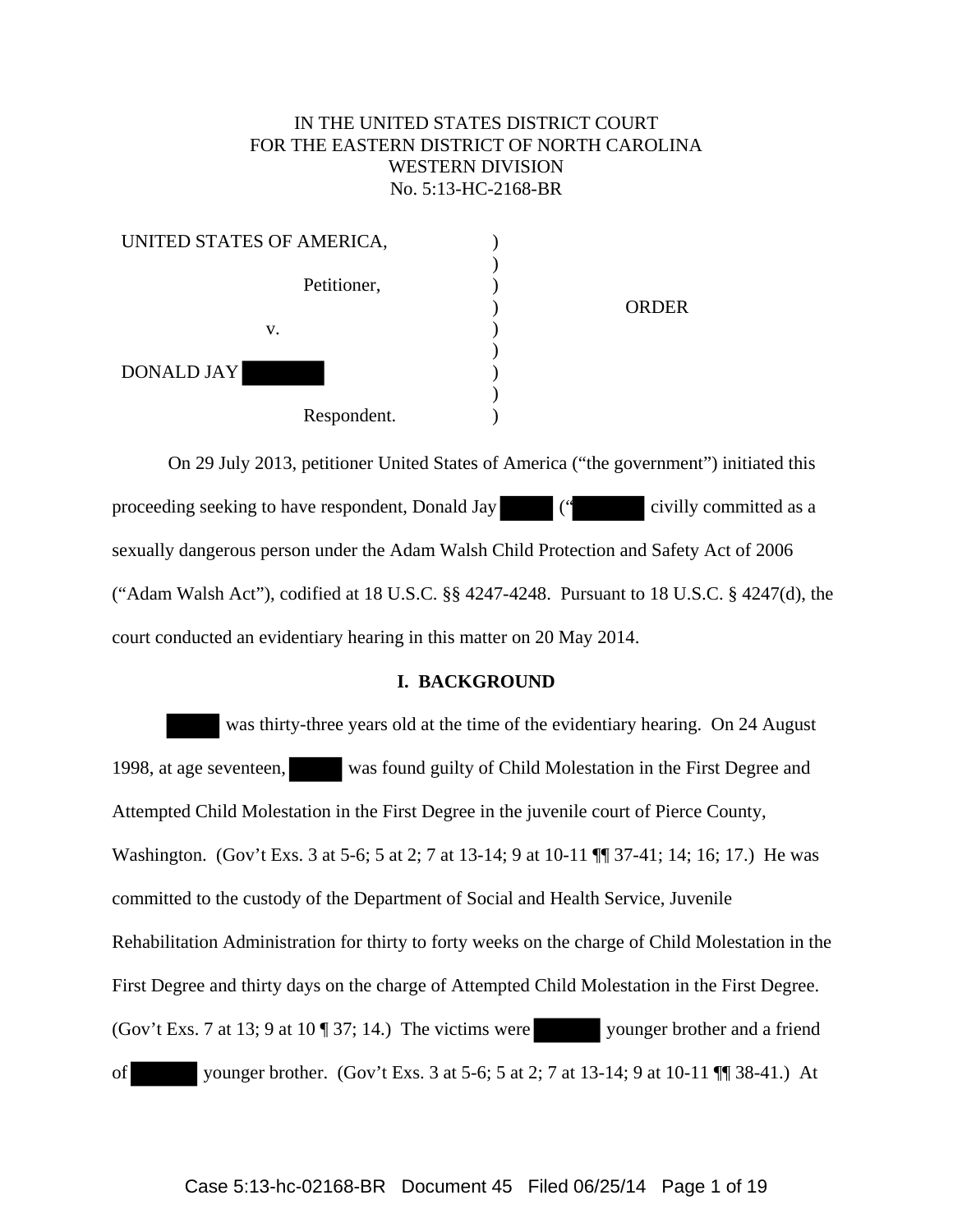# IN THE UNITED STATES DISTRICT COURT FOR THE EASTERN DISTRICT OF NORTH CAROLINA WESTERN DIVISION No. 5:13-HC-2168-BR

| UNITED STATES OF AMERICA, |              |
|---------------------------|--------------|
|                           |              |
| Petitioner,               | <b>ORDER</b> |
| v.                        |              |
| <b>DONALD JAY</b>         |              |
|                           |              |
| Respondent.               |              |

On 29 July 2013, petitioner United States of America ("the government") initiated this proceeding seeking to have respondent, Donald Jay (" civilly committed as a sexually dangerous person under the Adam Walsh Child Protection and Safety Act of 2006 ("Adam Walsh Act"), codified at 18 U.S.C. §§ 4247-4248. Pursuant to 18 U.S.C. § 4247(d), the court conducted an evidentiary hearing in this matter on 20 May 2014.

## **I. BACKGROUND**

| was thirty-three years old at the time of the evidentiary hearing. On 24 August                        |
|--------------------------------------------------------------------------------------------------------|
| 1998, at age seventeen,<br>was found guilty of Child Molestation in the First Degree and               |
| Attempted Child Molestation in the First Degree in the juvenile court of Pierce County,                |
| Washington. (Gov't Exs. 3 at 5-6; 5 at 2; 7 at 13-14; 9 at 10-11 [1] 37-41; 14; 16; 17.) He was        |
| committed to the custody of the Department of Social and Health Service, Juvenile                      |
| Rehabilitation Administration for thirty to forty weeks on the charge of Child Molestation in the      |
| First Degree and thirty days on the charge of Attempted Child Molestation in the First Degree.         |
| (Gov't Exs. 7 at 13; 9 at 10 $\P$ 37; 14.) The victims were<br>younger brother and a friend            |
| <sub>of</sub><br>younger brother. (Gov't Exs. 3 at 5-6; 5 at 2; 7 at 13-14; 9 at 10-11 $\P$ 38-41.) At |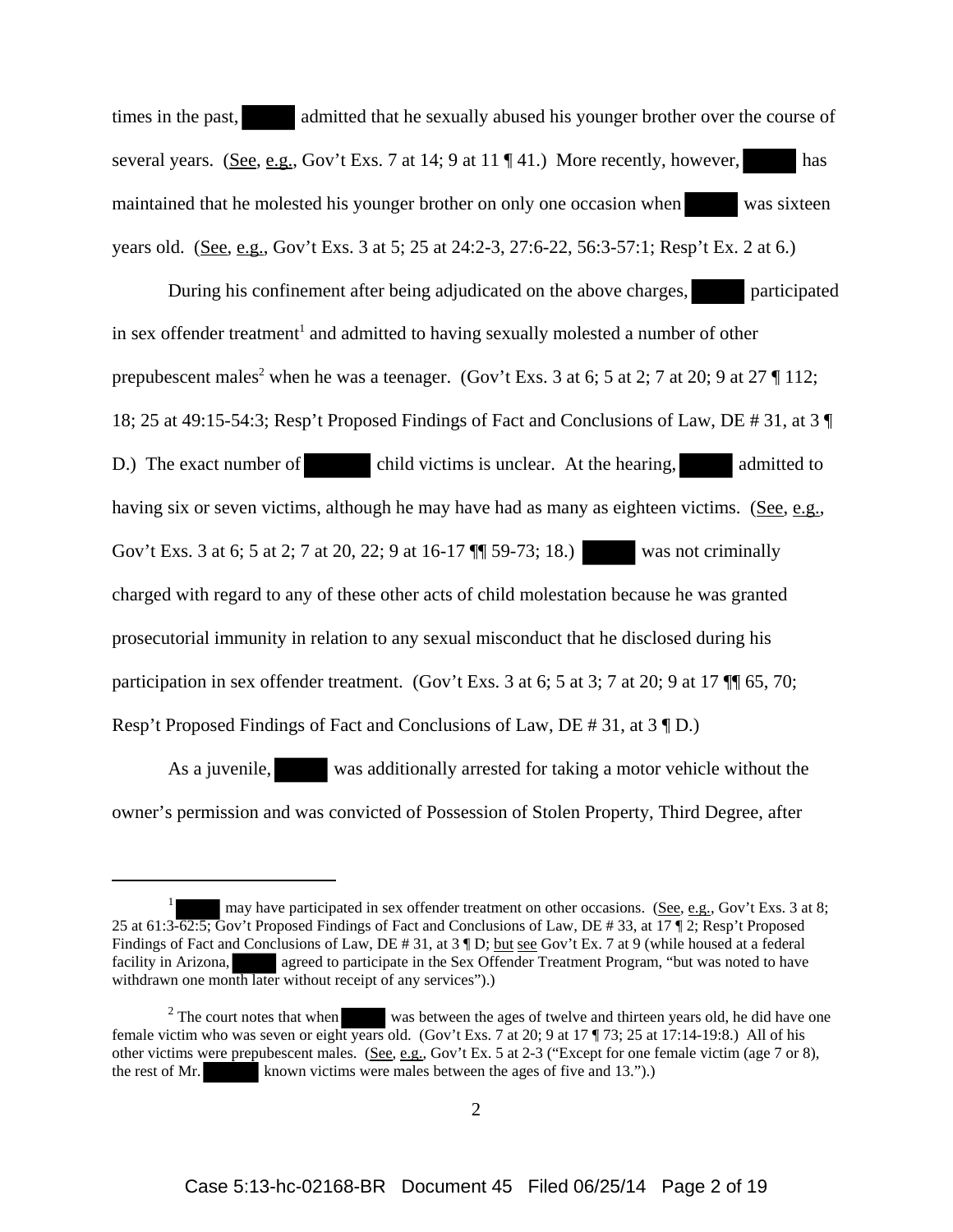times in the past, admitted that he sexually abused his younger brother over the course of several years. (See, e.g., Gov't Exs. 7 at 14; 9 at 11 ¶ 41.) More recently, however, has maintained that he molested his younger brother on only one occasion when was sixteen years old. (See, e.g., Gov't Exs. 3 at 5; 25 at 24:2-3, 27:6-22, 56:3-57:1; Resp't Ex. 2 at 6.)

During his confinement after being adjudicated on the above charges, participated in sex offender treatment<sup>1</sup> and admitted to having sexually molested a number of other prepubescent males<sup>2</sup> when he was a teenager. (Gov't Exs. 3 at 6; 5 at 2; 7 at 20; 9 at 27  $\P$  112; 18; 25 at 49:15-54:3; Resp't Proposed Findings of Fact and Conclusions of Law, DE # 31, at 3 ¶ D.) The exact number of child victims is unclear. At the hearing, admitted to having six or seven victims, although he may have had as many as eighteen victims. (See, e.g., Gov't Exs. 3 at 6; 5 at 2; 7 at 20, 22; 9 at 16-17  $\P$  59-73; 18.) was not criminally charged with regard to any of these other acts of child molestation because he was granted prosecutorial immunity in relation to any sexual misconduct that he disclosed during his participation in sex offender treatment. (Gov't Exs. 3 at 6; 5 at 3; 7 at 20; 9 at 17  $\P$  65, 70; Resp't Proposed Findings of Fact and Conclusions of Law, DE # 31, at 3 ¶ D.)

As a juvenile, was additionally arrested for taking a motor vehicle without the owner's permission and was convicted of Possession of Stolen Property, Third Degree, after

<sup>1</sup> may have participated in sex offender treatment on other occasions. (See, e.g., Gov't Exs. 3 at 8; 25 at 61:3-62:5; Gov't Proposed Findings of Fact and Conclusions of Law, DE # 33, at 17 ¶ 2; Resp't Proposed Findings of Fact and Conclusions of Law, DE # 31, at 3  $\mathbb{T}$  D; but see Gov't Ex. 7 at 9 (while housed at a federal facility in Arizona, agreed to participate in the Sex Offender Treatment Program, "but was noted to have withdrawn one month later without receipt of any services").)

<sup>&</sup>lt;sup>2</sup> The court notes that when was between the ages of twelve and thirteen years old, he did have one female victim who was seven or eight years old. (Gov't Exs. 7 at 20; 9 at 17 ¶ 73; 25 at 17:14-19:8.) All of his other victims were prepubescent males. (See, e.g., Gov't Ex. 5 at 2-3 ("Except for one female victim (age 7 or 8), the rest of Mr. known victims were males between the ages of five and 13.").)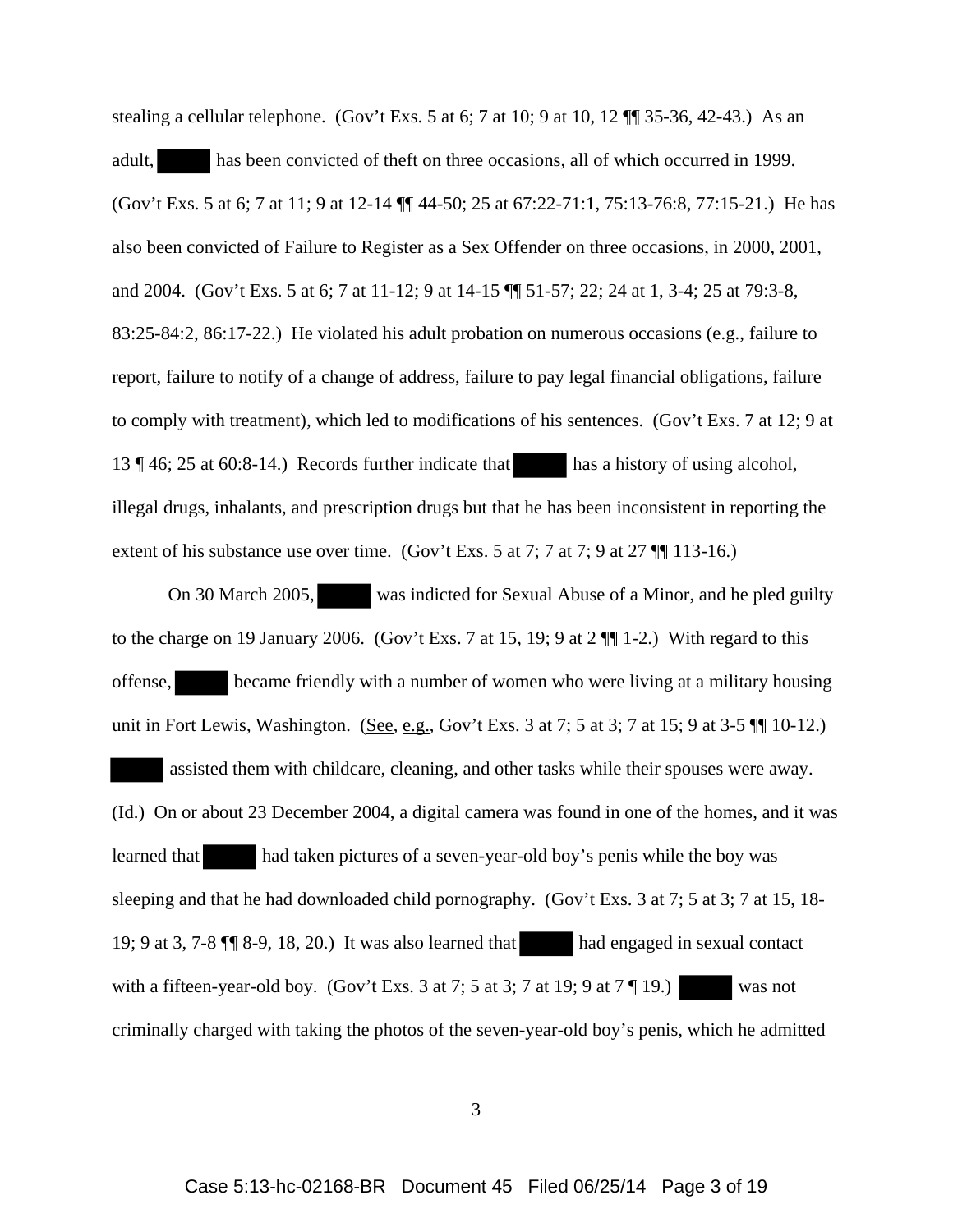stealing a cellular telephone. (Gov't Exs. 5 at 6; 7 at 10; 9 at 10, 12 ¶¶ 35-36, 42-43.) As an adult, has been convicted of theft on three occasions, all of which occurred in 1999. (Gov't Exs. 5 at 6; 7 at 11; 9 at 12-14 ¶¶ 44-50; 25 at 67:22-71:1, 75:13-76:8, 77:15-21.) He has also been convicted of Failure to Register as a Sex Offender on three occasions, in 2000, 2001, and 2004. (Gov't Exs. 5 at 6; 7 at 11-12; 9 at 14-15 ¶¶ 51-57; 22; 24 at 1, 3-4; 25 at 79:3-8, 83:25-84:2, 86:17-22.) He violated his adult probation on numerous occasions (e.g., failure to report, failure to notify of a change of address, failure to pay legal financial obligations, failure to comply with treatment), which led to modifications of his sentences. (Gov't Exs. 7 at 12; 9 at 13 ¶ 46; 25 at 60:8-14.) Records further indicate that has a history of using alcohol, illegal drugs, inhalants, and prescription drugs but that he has been inconsistent in reporting the extent of his substance use over time. (Gov't Exs. 5 at 7; 7 at 7; 9 at 27 $\P$  $\P$  113-16.)

On 30 March 2005, was indicted for Sexual Abuse of a Minor, and he pled guilty to the charge on 19 January 2006. (Gov't Exs. 7 at 15, 19; 9 at 2 ¶¶ 1-2.) With regard to this offense, became friendly with a number of women who were living at a military housing unit in Fort Lewis, Washington. (See, e.g., Gov't Exs. 3 at 7; 5 at 3; 7 at 15; 9 at 3-5  $\P$  10-12.) assisted them with childcare, cleaning, and other tasks while their spouses were away. (Id.) On or about 23 December 2004, a digital camera was found in one of the homes, and it was learned that had taken pictures of a seven-year-old boy's penis while the boy was sleeping and that he had downloaded child pornography. (Gov't Exs. 3 at 7; 5 at 3; 7 at 15, 18- 19; 9 at 3, 7-8  $\P$  8-9, 18, 20.) It was also learned that had engaged in sexual contact with a fifteen-year-old boy. (Gov't Exs. 3 at 7; 5 at 3; 7 at 19; 9 at 7  $\P$  19.) was not criminally charged with taking the photos of the seven-year-old boy's penis, which he admitted

3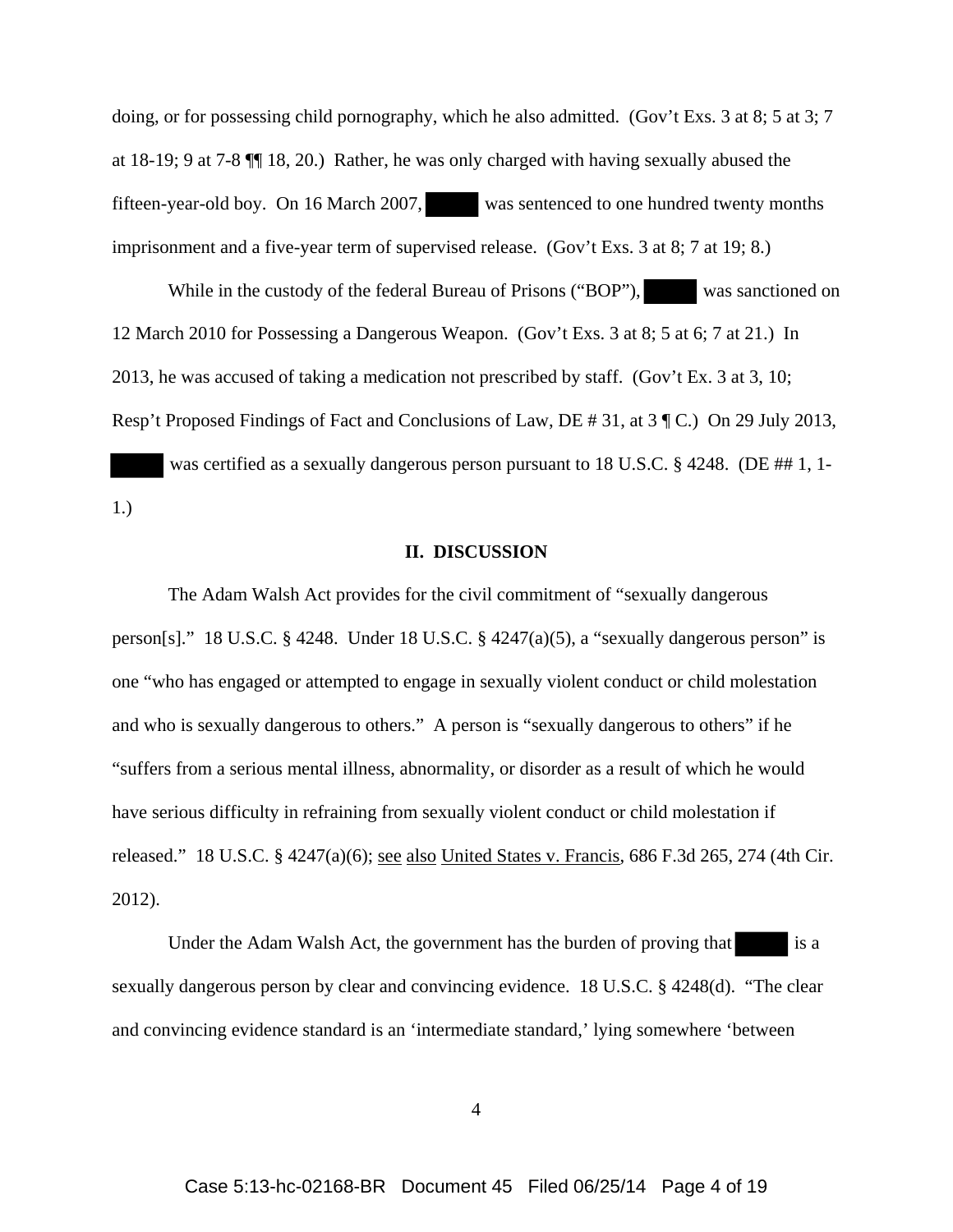doing, or for possessing child pornography, which he also admitted. (Gov't Exs. 3 at 8; 5 at 3; 7 at 18-19; 9 at 7-8 ¶¶ 18, 20.) Rather, he was only charged with having sexually abused the fifteen-year-old boy. On 16 March 2007, was sentenced to one hundred twenty months imprisonment and a five-year term of supervised release. (Gov't Exs. 3 at 8; 7 at 19; 8.)

While in the custody of the federal Bureau of Prisons ("BOP"), was sanctioned on 12 March 2010 for Possessing a Dangerous Weapon. (Gov't Exs. 3 at 8; 5 at 6; 7 at 21.) In 2013, he was accused of taking a medication not prescribed by staff. (Gov't Ex. 3 at 3, 10; Resp't Proposed Findings of Fact and Conclusions of Law, DE # 31, at 3 ¶ C.) On 29 July 2013, was certified as a sexually dangerous person pursuant to 18 U.S.C. § 4248. (DE ## 1, 1-

1.)

### **II. DISCUSSION**

The Adam Walsh Act provides for the civil commitment of "sexually dangerous person[s]." 18 U.S.C. § 4248. Under 18 U.S.C. § 4247(a)(5), a "sexually dangerous person" is one "who has engaged or attempted to engage in sexually violent conduct or child molestation and who is sexually dangerous to others." A person is "sexually dangerous to others" if he "suffers from a serious mental illness, abnormality, or disorder as a result of which he would have serious difficulty in refraining from sexually violent conduct or child molestation if released." 18 U.S.C. § 4247(a)(6); see also United States v. Francis, 686 F.3d 265, 274 (4th Cir. 2012).

Under the Adam Walsh Act, the government has the burden of proving that is a sexually dangerous person by clear and convincing evidence. 18 U.S.C. § 4248(d). "The clear and convincing evidence standard is an 'intermediate standard,' lying somewhere 'between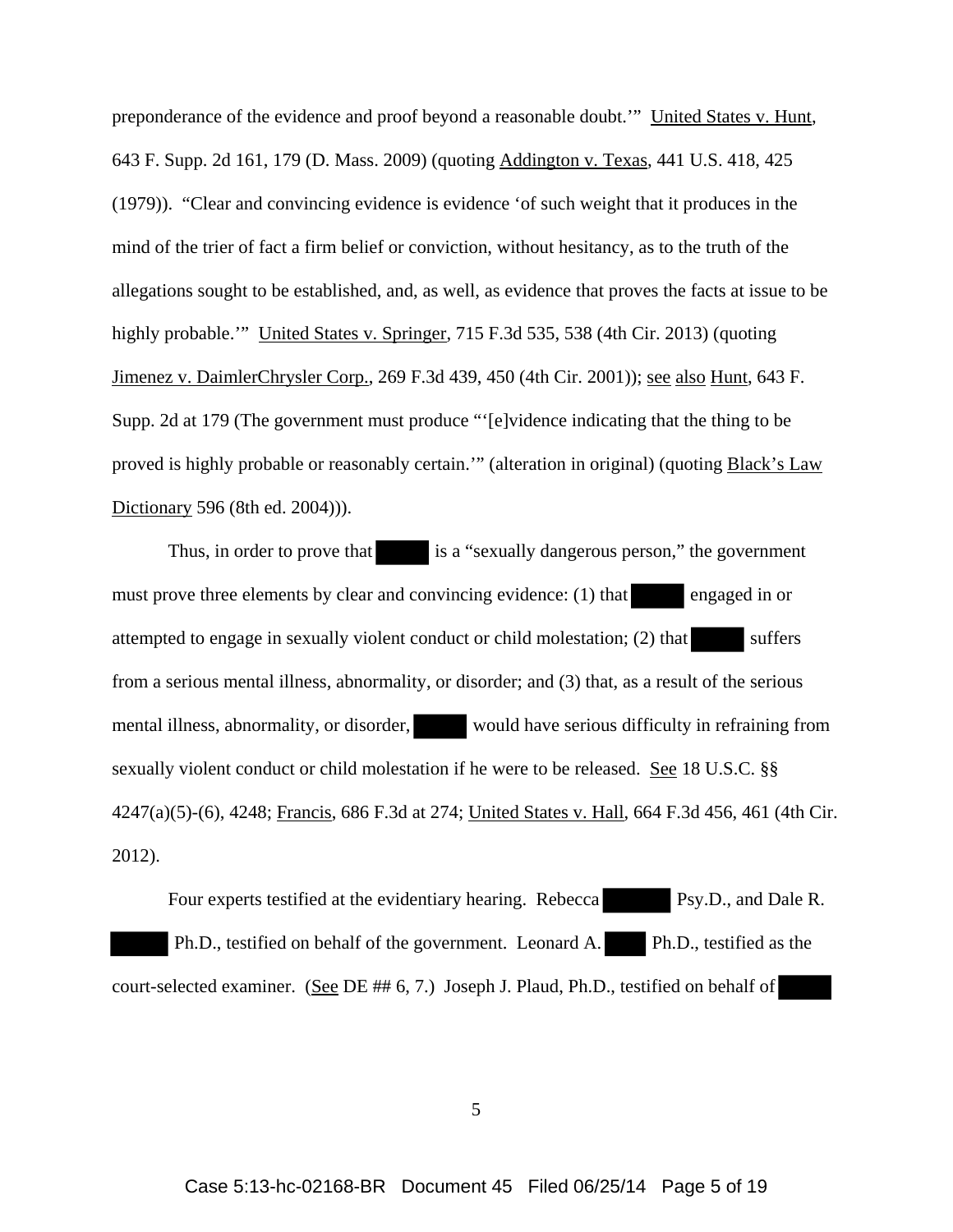preponderance of the evidence and proof beyond a reasonable doubt.'" United States v. Hunt, 643 F. Supp. 2d 161, 179 (D. Mass. 2009) (quoting Addington v. Texas, 441 U.S. 418, 425 (1979)). "Clear and convincing evidence is evidence 'of such weight that it produces in the mind of the trier of fact a firm belief or conviction, without hesitancy, as to the truth of the allegations sought to be established, and, as well, as evidence that proves the facts at issue to be highly probable." United States v. Springer, 715 F.3d 535, 538 (4th Cir. 2013) (quoting Jimenez v. DaimlerChrysler Corp., 269 F.3d 439, 450 (4th Cir. 2001)); see also Hunt, 643 F. Supp. 2d at 179 (The government must produce "'[e]vidence indicating that the thing to be proved is highly probable or reasonably certain.'" (alteration in original) (quoting Black's Law Dictionary 596 (8th ed. 2004))).

Thus, in order to prove that is a "sexually dangerous person," the government must prove three elements by clear and convincing evidence: (1) that engaged in or attempted to engage in sexually violent conduct or child molestation;  $(2)$  that suffers from a serious mental illness, abnormality, or disorder; and (3) that, as a result of the serious mental illness, abnormality, or disorder, would have serious difficulty in refraining from sexually violent conduct or child molestation if he were to be released. See 18 U.S.C. §§ 4247(a)(5)-(6), 4248; Francis, 686 F.3d at 274; United States v. Hall, 664 F.3d 456, 461 (4th Cir. 2012).

Four experts testified at the evidentiary hearing. Rebecca Psy.D., and Dale R. Ph.D., testified on behalf of the government. Leonard A. Ph.D., testified as the court-selected examiner. (See DE ## 6, 7.) Joseph J. Plaud, Ph.D., testified on behalf of

5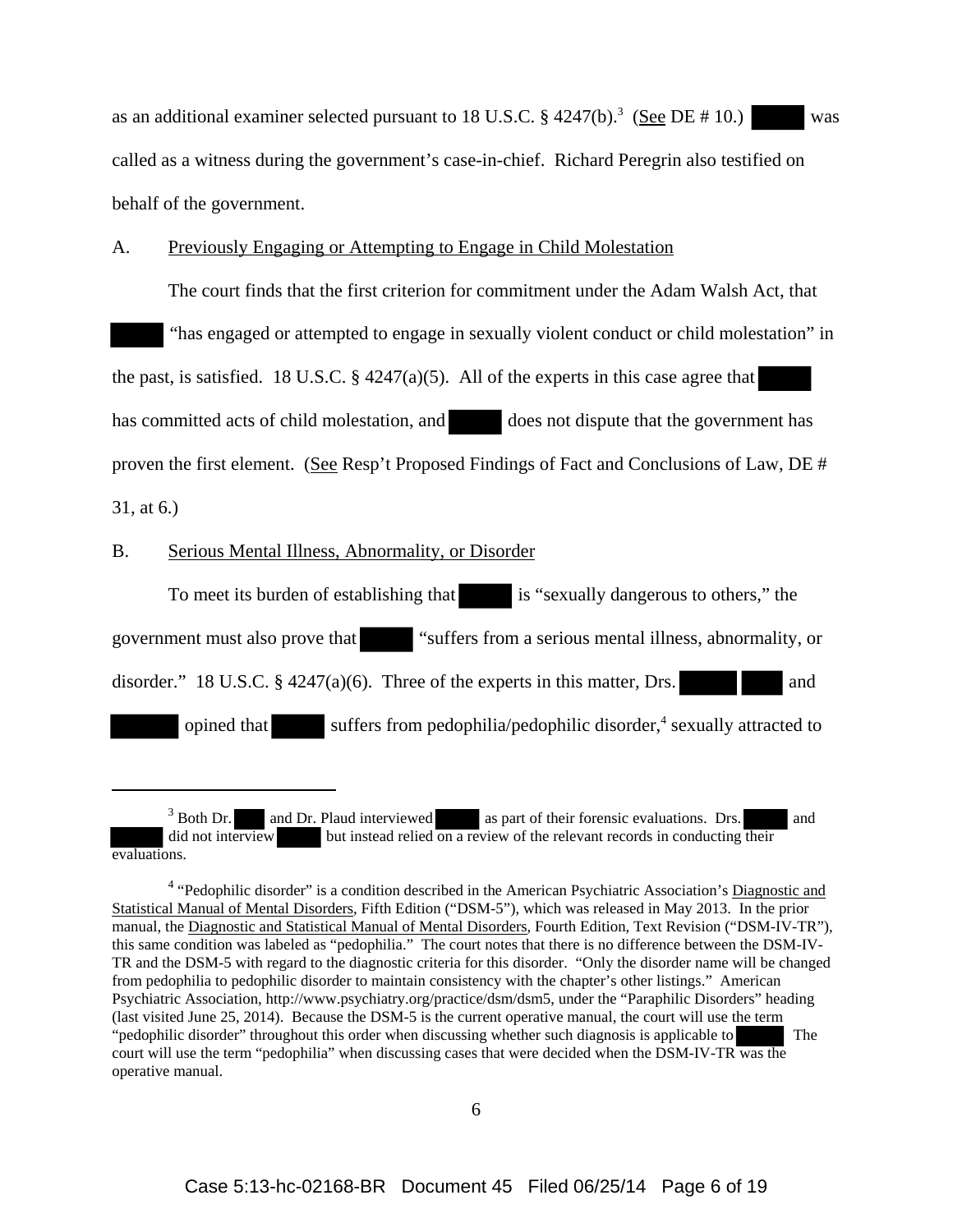### A. Previously Engaging or Attempting to Engage in Child Molestation

The court finds that the first criterion for commitment under the Adam Walsh Act, that "has engaged or attempted to engage in sexually violent conduct or child molestation" in the past, is satisfied. 18 U.S.C.  $\S$  4247(a)(5). All of the experts in this case agree that has committed acts of child molestation, and does not dispute that the government has proven the first element. (See Resp't Proposed Findings of Fact and Conclusions of Law, DE # 31, at 6.)

#### B. Serious Mental Illness, Abnormality, or Disorder

To meet its burden of establishing that is "sexually dangerous to others," the government must also prove that "suffers from a serious mental illness, abnormality, or disorder." 18 U.S.C.  $\S$  4247(a)(6). Three of the experts in this matter, Drs. and opined that suffers from pedophilia/pedophilic disorder,<sup>4</sup> sexually attracted to

<sup>&</sup>lt;sup>3</sup> Both Dr. and Dr. Plaud interviewed as part of their forensic evaluations. Drs. and did not interview but instead relied on a review of the relevant records in conducting their evaluations.

<sup>&</sup>lt;sup>4</sup> "Pedophilic disorder" is a condition described in the American Psychiatric Association's Diagnostic and Statistical Manual of Mental Disorders, Fifth Edition ("DSM-5"), which was released in May 2013. In the prior manual, the Diagnostic and Statistical Manual of Mental Disorders, Fourth Edition, Text Revision ("DSM-IV-TR"), this same condition was labeled as "pedophilia." The court notes that there is no difference between the DSM-IV-TR and the DSM-5 with regard to the diagnostic criteria for this disorder. "Only the disorder name will be changed from pedophilia to pedophilic disorder to maintain consistency with the chapter's other listings." American Psychiatric Association, http://www.psychiatry.org/practice/dsm/dsm5, under the "Paraphilic Disorders" heading (last visited June 25, 2014). Because the DSM-5 is the current operative manual, the court will use the term "pedophilic disorder" throughout this order when discussing whether such diagnosis is applicable to The court will use the term "pedophilia" when discussing cases that were decided when the DSM-IV-TR was the operative manual.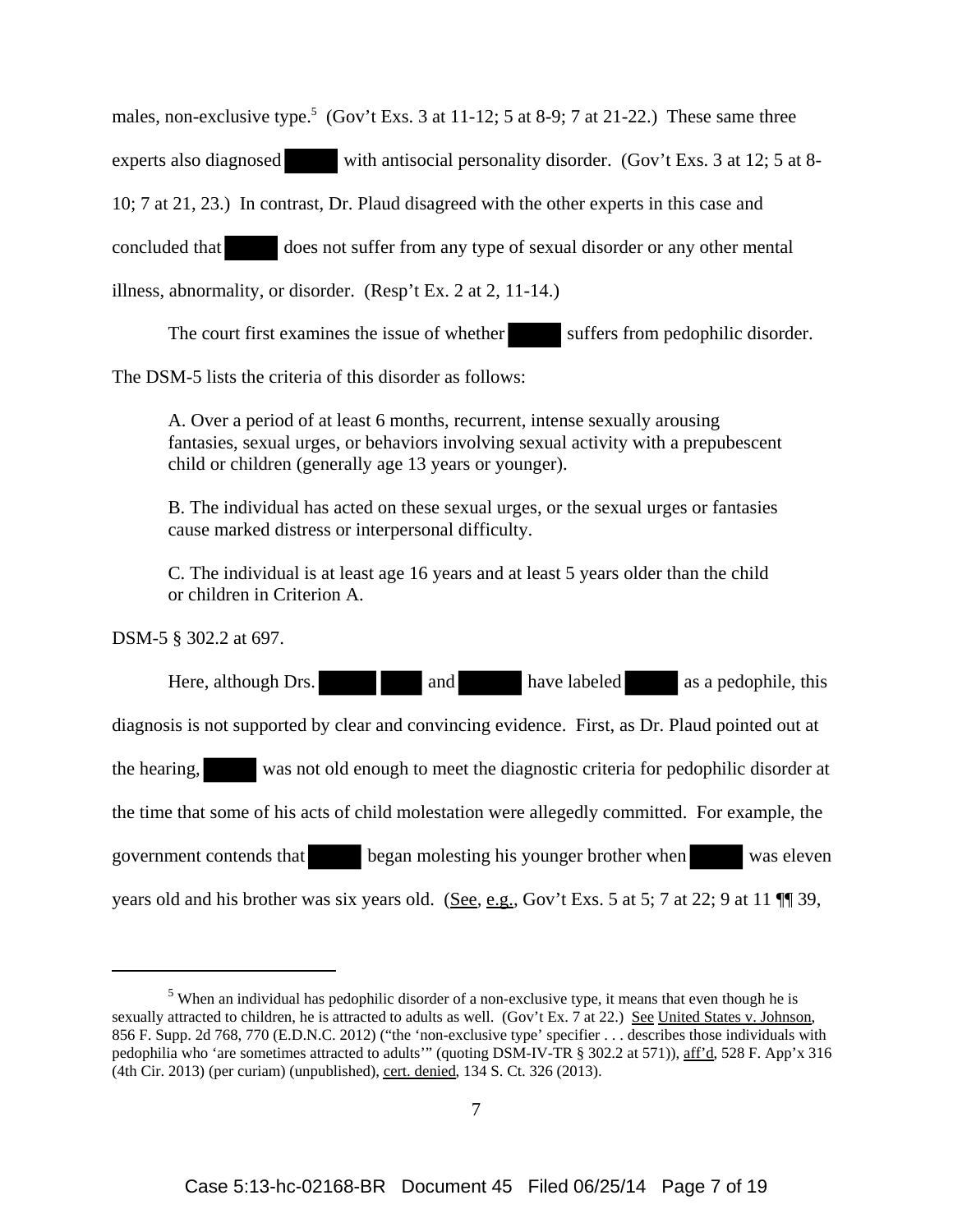males, non-exclusive type.<sup>5</sup> (Gov't Exs. 3 at 11-12; 5 at 8-9; 7 at 21-22.) These same three

experts also diagnosed with antisocial personality disorder. (Gov't Exs. 3 at 12; 5 at 8-

10; 7 at 21, 23.) In contrast, Dr. Plaud disagreed with the other experts in this case and

concluded that does not suffer from any type of sexual disorder or any other mental

illness, abnormality, or disorder. (Resp't Ex. 2 at 2, 11-14.)

The court first examines the issue of whether suffers from pedophilic disorder.

The DSM-5 lists the criteria of this disorder as follows:

A. Over a period of at least 6 months, recurrent, intense sexually arousing fantasies, sexual urges, or behaviors involving sexual activity with a prepubescent child or children (generally age 13 years or younger).

B. The individual has acted on these sexual urges, or the sexual urges or fantasies cause marked distress or interpersonal difficulty.

C. The individual is at least age 16 years and at least 5 years older than the child or children in Criterion A.

DSM-5 § 302.2 at 697.

Here, although Drs. **and have labeled** as a pedophile, this diagnosis is not supported by clear and convincing evidence. First, as Dr. Plaud pointed out at the hearing, was not old enough to meet the diagnostic criteria for pedophilic disorder at the time that some of his acts of child molestation were allegedly committed. For example, the government contends that began molesting his younger brother when was eleven years old and his brother was six years old. (See, e.g., Gov't Exs. 5 at 5; 7 at 22; 9 at 11 ¶¶ 39,

 $<sup>5</sup>$  When an individual has pedophilic disorder of a non-exclusive type, it means that even though he is</sup> sexually attracted to children, he is attracted to adults as well. (Gov't Ex. 7 at 22.) See United States v. Johnson, 856 F. Supp. 2d 768, 770 (E.D.N.C. 2012) ("the 'non-exclusive type' specifier . . . describes those individuals with pedophilia who 'are sometimes attracted to adults'" (quoting DSM-IV-TR § 302.2 at 571)), aff'd, 528 F. App'x 316 (4th Cir. 2013) (per curiam) (unpublished), cert. denied, 134 S. Ct. 326 (2013).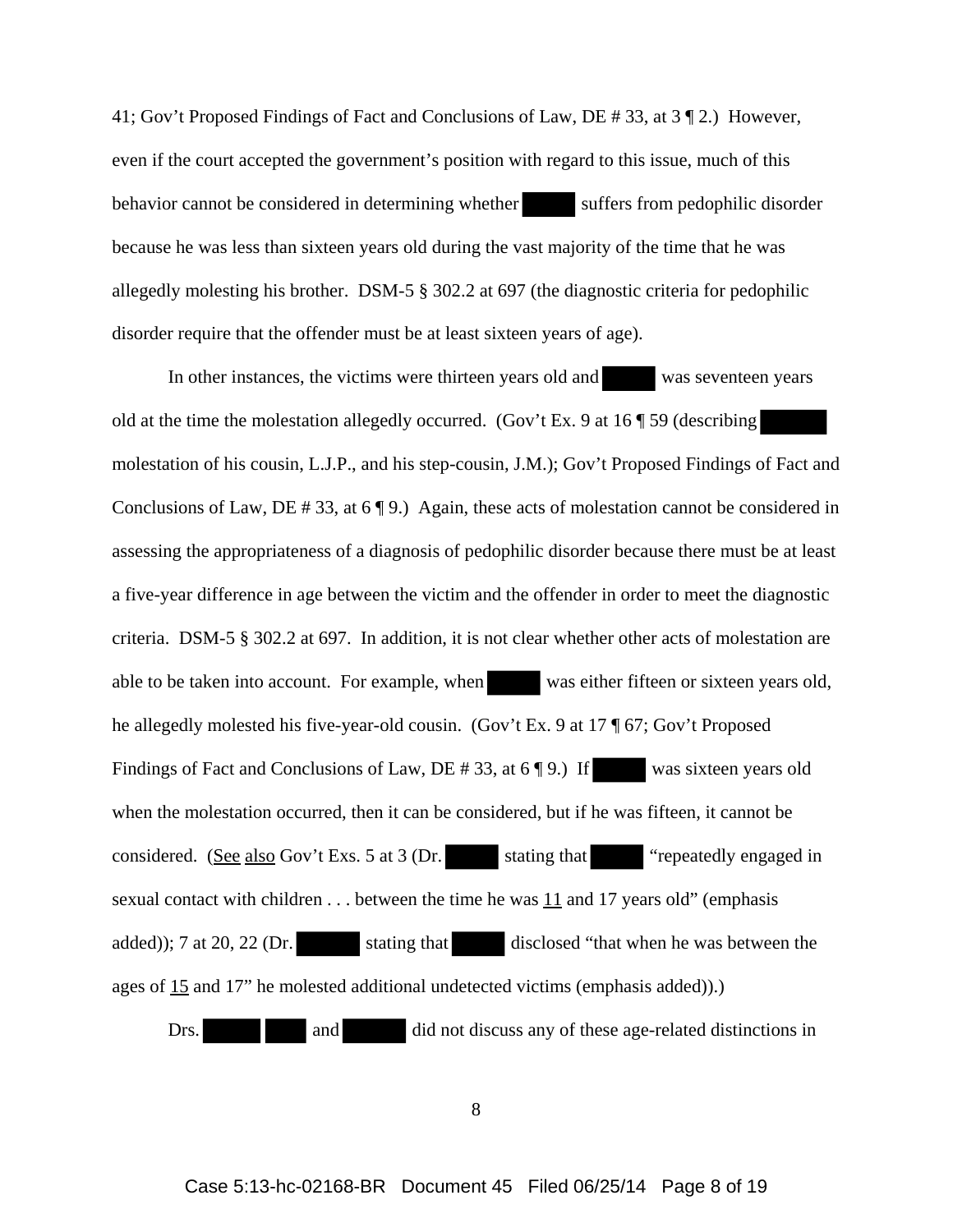41; Gov't Proposed Findings of Fact and Conclusions of Law, DE # 33, at 3 ¶ 2.) However, even if the court accepted the government's position with regard to this issue, much of this behavior cannot be considered in determining whether suffers from pedophilic disorder because he was less than sixteen years old during the vast majority of the time that he was allegedly molesting his brother. DSM-5 § 302.2 at 697 (the diagnostic criteria for pedophilic disorder require that the offender must be at least sixteen years of age).

In other instances, the victims were thirteen years old and was seventeen years old at the time the molestation allegedly occurred. (Gov't Ex. 9 at 16 ¶ 59 (describing molestation of his cousin, L.J.P., and his step-cousin, J.M.); Gov't Proposed Findings of Fact and Conclusions of Law, DE # 33, at  $6 \text{ } \text{\ensuremath{\P}}\text{9}$ . Again, these acts of molestation cannot be considered in assessing the appropriateness of a diagnosis of pedophilic disorder because there must be at least a five-year difference in age between the victim and the offender in order to meet the diagnostic criteria. DSM-5 § 302.2 at 697. In addition, it is not clear whether other acts of molestation are able to be taken into account. For example, when was either fifteen or sixteen years old, he allegedly molested his five-year-old cousin. (Gov't Ex. 9 at 17 ¶ 67; Gov't Proposed Findings of Fact and Conclusions of Law, DE # 33, at 6 | 9.) If was sixteen years old when the molestation occurred, then it can be considered, but if he was fifteen, it cannot be considered. (See also Gov't Exs. 5 at 3 (Dr. stating that "repeatedly engaged in sexual contact with children . . . between the time he was 11 and 17 years old" (emphasis added)); 7 at 20, 22 (Dr. stating that disclosed "that when he was between the ages of 15 and 17" he molested additional undetected victims (emphasis added)).) Drs. and did not discuss any of these age-related distinctions in

8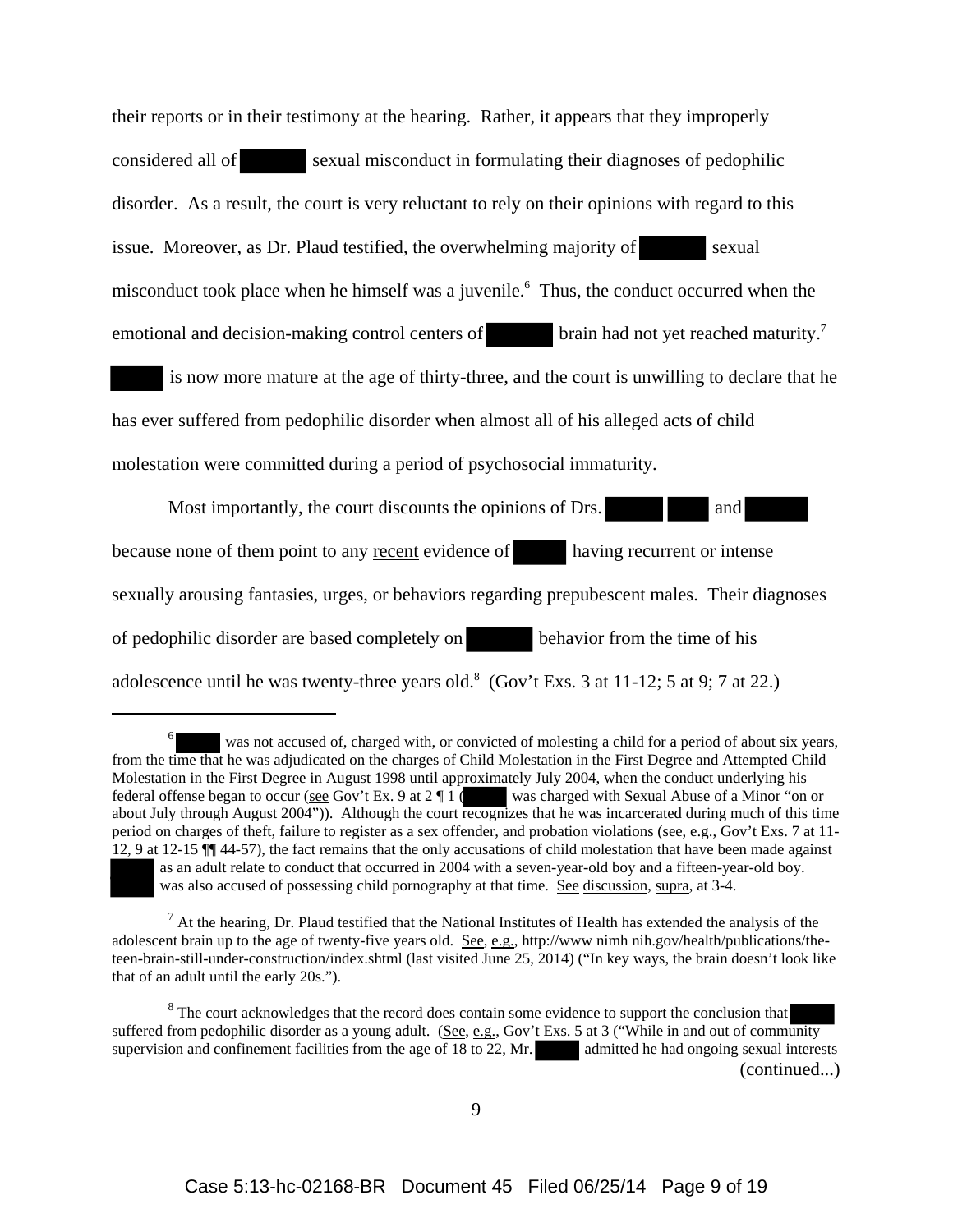their reports or in their testimony at the hearing. Rather, it appears that they improperly considered all of sexual misconduct in formulating their diagnoses of pedophilic disorder. As a result, the court is very reluctant to rely on their opinions with regard to this issue. Moreover, as Dr. Plaud testified, the overwhelming majority of sexual misconduct took place when he himself was a juvenile.<sup>6</sup> Thus, the conduct occurred when the emotional and decision-making control centers of brain had not yet reached maturity.<sup>7</sup>

 is now more mature at the age of thirty-three, and the court is unwilling to declare that he has ever suffered from pedophilic disorder when almost all of his alleged acts of child molestation were committed during a period of psychosocial immaturity.

Most importantly, the court discounts the opinions of Drs. and because none of them point to any recent evidence of having recurrent or intense sexually arousing fantasies, urges, or behaviors regarding prepubescent males. Their diagnoses of pedophilic disorder are based completely on behavior from the time of his adolescence until he was twenty-three years old.<sup>8</sup> (Gov't Exs. 3 at 11-12; 5 at 9; 7 at 22.)

<sup>6</sup> was not accused of, charged with, or convicted of molesting a child for a period of about six years, from the time that he was adjudicated on the charges of Child Molestation in the First Degree and Attempted Child Molestation in the First Degree in August 1998 until approximately July 2004, when the conduct underlying his federal offense began to occur (see Gov't Ex. 9 at  $2 \P 1$  (was charged with Sexual Abuse of a Minor "on was charged with Sexual Abuse of a Minor "on or about July through August 2004")). Although the court recognizes that he was incarcerated during much of this time period on charges of theft, failure to register as a sex offender, and probation violations (see, e.g., Gov't Exs. 7 at 11- 12, 9 at 12-15 ¶¶ 44-57), the fact remains that the only accusations of child molestation that have been made against as an adult relate to conduct that occurred in 2004 with a seven-year-old boy and a fifteen-year-old boy. was also accused of possessing child pornography at that time. See discussion, supra, at 3-4.

 $<sup>7</sup>$  At the hearing, Dr. Plaud testified that the National Institutes of Health has extended the analysis of the</sup> adolescent brain up to the age of twenty-five years old. See, e.g., http://www nimh nih.gov/health/publications/theteen-brain-still-under-construction/index.shtml (last visited June 25, 2014) ("In key ways, the brain doesn't look like that of an adult until the early 20s.").

 $8$  The court acknowledges that the record does contain some evidence to support the conclusion that suffered from pedophilic disorder as a young adult. (See, e.g., Gov't Exs. 5 at 3 ("While in and out of community supervision and confinement facilities from the age of 18 to 22, Mr. admitted he had ongoing sexual interests (continued...)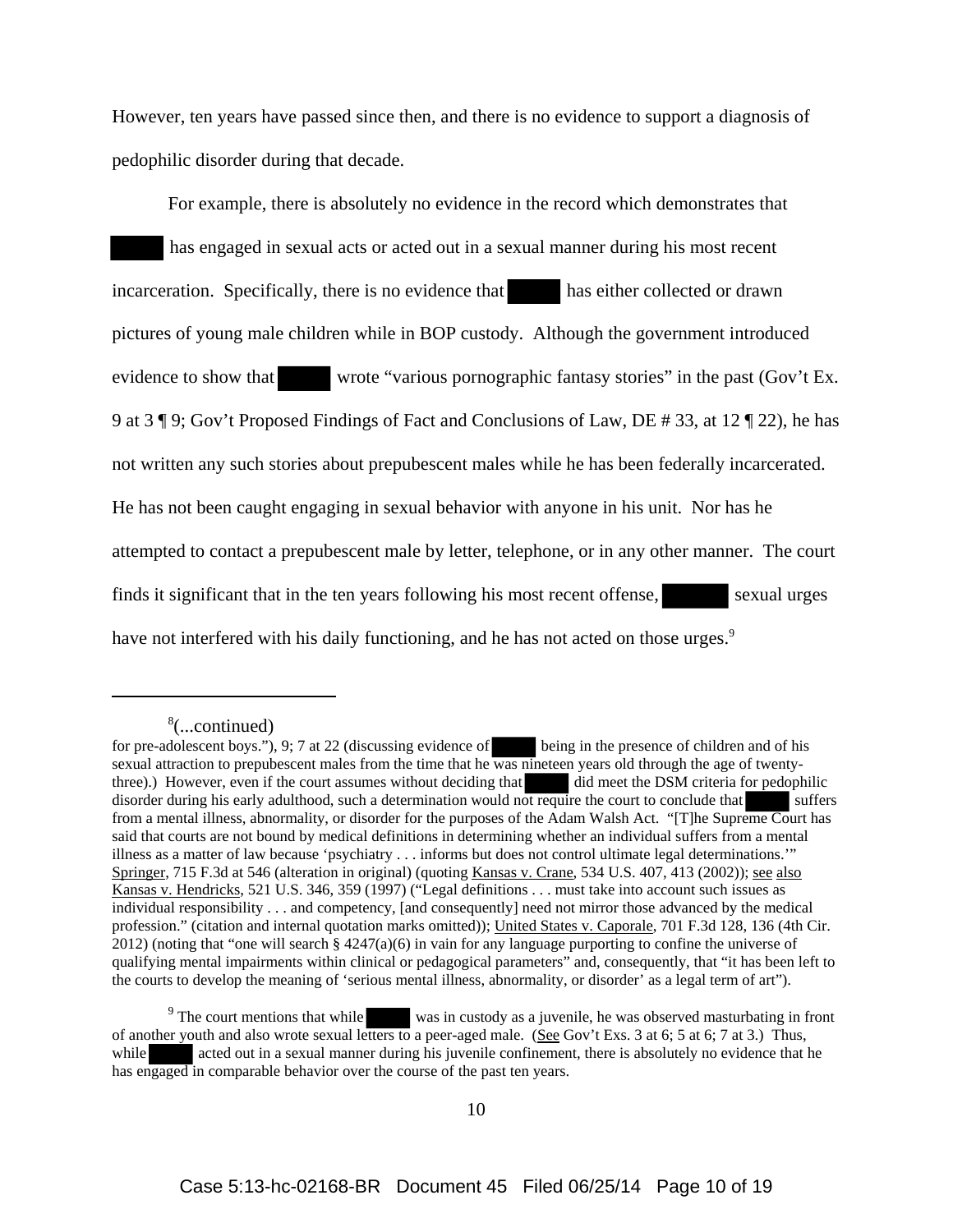However, ten years have passed since then, and there is no evidence to support a diagnosis of pedophilic disorder during that decade.

For example, there is absolutely no evidence in the record which demonstrates that has engaged in sexual acts or acted out in a sexual manner during his most recent incarceration. Specifically, there is no evidence that has either collected or drawn pictures of young male children while in BOP custody. Although the government introduced evidence to show that wrote "various pornographic fantasy stories" in the past (Gov't Ex. 9 at 3 ¶ 9; Gov't Proposed Findings of Fact and Conclusions of Law, DE # 33, at 12 ¶ 22), he has not written any such stories about prepubescent males while he has been federally incarcerated. He has not been caught engaging in sexual behavior with anyone in his unit. Nor has he attempted to contact a prepubescent male by letter, telephone, or in any other manner. The court finds it significant that in the ten years following his most recent offense, sexual urges have not interfered with his daily functioning, and he has not acted on those urges.<sup>9</sup>

<sup>8</sup> (...continued)

for pre-adolescent boys."), 9; 7 at 22 (discussing evidence of being in the presence of children and of his sexual attraction to prepubescent males from the time that he was nineteen years old through the age of twentythree).) However, even if the court assumes without deciding that did meet the DSM criteria for pedophilic disorder during his early adulthood, such a determination would not require the court to conclude that suffers from a mental illness, abnormality, or disorder for the purposes of the Adam Walsh Act. "[T]he Supreme Court has said that courts are not bound by medical definitions in determining whether an individual suffers from a mental illness as a matter of law because 'psychiatry . . . informs but does not control ultimate legal determinations.'" Springer, 715 F.3d at 546 (alteration in original) (quoting Kansas v. Crane, 534 U.S. 407, 413 (2002)); see also Kansas v. Hendricks, 521 U.S. 346, 359 (1997) ("Legal definitions . . . must take into account such issues as individual responsibility . . . and competency, [and consequently] need not mirror those advanced by the medical profession." (citation and internal quotation marks omitted)); United States v. Caporale, 701 F.3d 128, 136 (4th Cir. 2012) (noting that "one will search  $\S$  4247(a)(6) in vain for any language purporting to confine the universe of qualifying mental impairments within clinical or pedagogical parameters" and, consequently, that "it has been left to the courts to develop the meaning of 'serious mental illness, abnormality, or disorder' as a legal term of art").

 $9<sup>9</sup>$  The court mentions that while was in custody as a juvenile, he was observed masturbating in front of another youth and also wrote sexual letters to a peer-aged male. (See Gov't Exs. 3 at 6; 5 at 6; 7 at 3.) Thus, while acted out in a sexual manner during his juvenile confinement, there is absolutely no evidence that he has engaged in comparable behavior over the course of the past ten years.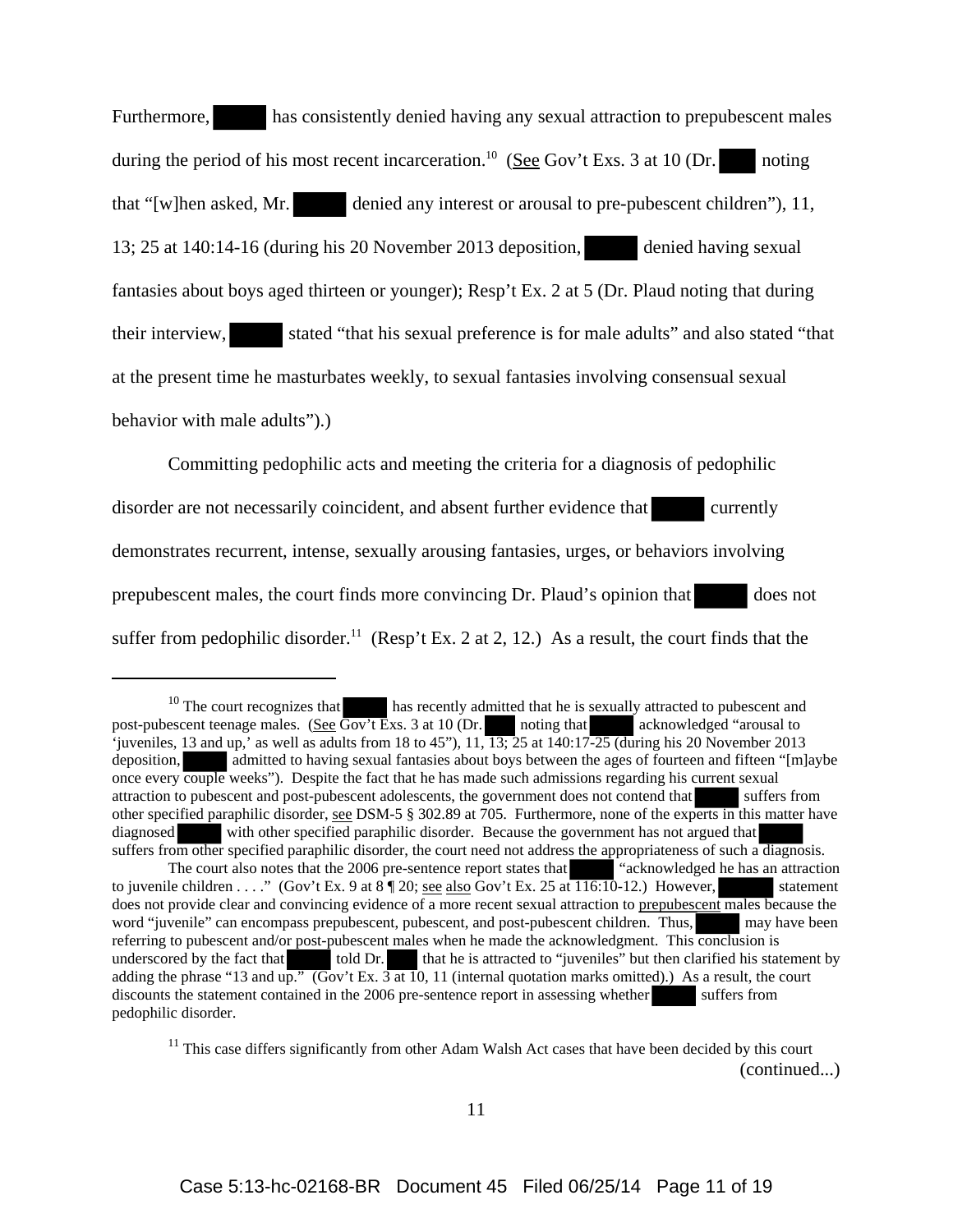Furthermore, has consistently denied having any sexual attraction to prepubescent males during the period of his most recent incarceration.<sup>10</sup> (See Gov't Exs. 3 at 10 (Dr. noting that "[w]hen asked, Mr. denied any interest or arousal to pre-pubescent children"), 11, 13; 25 at 140:14-16 (during his 20 November 2013 deposition, denied having sexual fantasies about boys aged thirteen or younger); Resp't Ex. 2 at 5 (Dr. Plaud noting that during their interview, stated "that his sexual preference is for male adults" and also stated "that at the present time he masturbates weekly, to sexual fantasies involving consensual sexual behavior with male adults").)

Committing pedophilic acts and meeting the criteria for a diagnosis of pedophilic disorder are not necessarily coincident, and absent further evidence that currently demonstrates recurrent, intense, sexually arousing fantasies, urges, or behaviors involving prepubescent males, the court finds more convincing Dr. Plaud's opinion that does not suffer from pedophilic disorder.<sup>11</sup> (Resp't Ex. 2 at 2, 12.) As a result, the court finds that the

<sup>&</sup>lt;sup>10</sup> The court recognizes that has recently admitted that he is sexually attracted to pubescent and escent teenage males. (See Gov't Exs. 3 at 10 (Dr. noting that acknowledged "arousal to post-pubescent teenage males. (See Gov't Exs. 3 at 10 (Dr. noting that acknowledged "arousal to 'juveniles, 13 and up,' as well as adults from 18 to 45"),  $11, \overline{13}$ ; 25 at 140:17-25 (during his 20 November 2013 deposition, admitted to having sexual fantasies about boys between the ages of fourteen and fifteen "[m]aybe once every couple weeks"). Despite the fact that he has made such admissions regarding his current sexual attraction to pubescent and post-pubescent adolescents, the government does not contend that suffers from other specified paraphilic disorder, <u>see</u> DSM-5 § 302.89 at 705. Furthermore, none of the experts in this matter have diagnosed with other specified paraphilic disorder. Because the government has not argued that with other specified paraphilic disorder. Because the government has not argued that suffers from other specified paraphilic disorder, the court need not address the appropriateness of such a diagnosis. The court also notes that the 2006 pre-sentence report states that "acknowledged he has an attraction to juvenile children . . . ." (Gov't Ex. 9 at 8 | 20; see also Gov't Ex. 25 at  $116:10-12$ .) However, statement does not provide clear and convincing evidence of a more recent sexual attraction to prepubescent males because the word "juvenile" can encompass prepubescent, pubescent, and post-pubescent children. Thus, may have been referring to pubescent and/or post-pubescent males when he made the acknowledgment. This conclusion is underscored by the fact that to told Dr. that he is attracted to "juveniles" but then clarified his stat that he is attracted to "juveniles" but then clarified his statement by adding the phrase "13 and up." (Gov't Ex. 3 at 10, 11 (internal quotation marks omitted).) As a result, the court discounts the statement contained in the 2006 pre-sentence report in assessing whether suffers from pedophilic disorder.

 $11$  This case differs significantly from other Adam Walsh Act cases that have been decided by this court (continued...)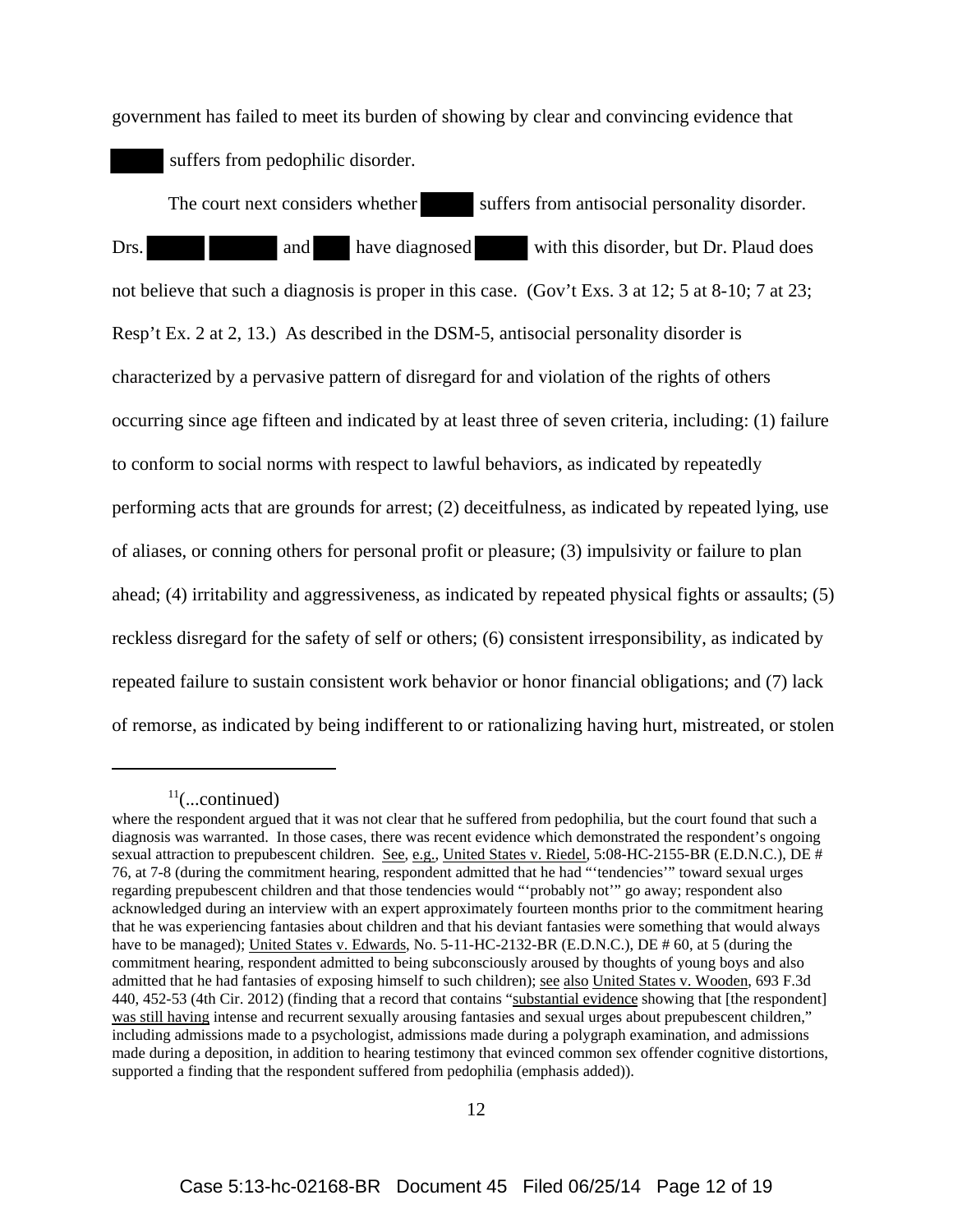government has failed to meet its burden of showing by clear and convincing evidence that suffers from pedophilic disorder.

The court next considers whether suffers from antisocial personality disorder. Drs. and have diagnosed with this disorder, but Dr. Plaud does not believe that such a diagnosis is proper in this case. (Gov't Exs. 3 at 12; 5 at 8-10; 7 at 23; Resp't Ex. 2 at 2, 13.) As described in the DSM-5, antisocial personality disorder is characterized by a pervasive pattern of disregard for and violation of the rights of others occurring since age fifteen and indicated by at least three of seven criteria, including: (1) failure to conform to social norms with respect to lawful behaviors, as indicated by repeatedly performing acts that are grounds for arrest; (2) deceitfulness, as indicated by repeated lying, use of aliases, or conning others for personal profit or pleasure; (3) impulsivity or failure to plan ahead; (4) irritability and aggressiveness, as indicated by repeated physical fights or assaults; (5) reckless disregard for the safety of self or others; (6) consistent irresponsibility, as indicated by repeated failure to sustain consistent work behavior or honor financial obligations; and (7) lack of remorse, as indicated by being indifferent to or rationalizing having hurt, mistreated, or stolen

 $11$ (...continued)

where the respondent argued that it was not clear that he suffered from pedophilia, but the court found that such a diagnosis was warranted. In those cases, there was recent evidence which demonstrated the respondent's ongoing sexual attraction to prepubescent children. See, e.g., United States v. Riedel, 5:08-HC-2155-BR (E.D.N.C.), DE # 76, at 7-8 (during the commitment hearing, respondent admitted that he had "'tendencies'" toward sexual urges regarding prepubescent children and that those tendencies would "'probably not'" go away; respondent also acknowledged during an interview with an expert approximately fourteen months prior to the commitment hearing that he was experiencing fantasies about children and that his deviant fantasies were something that would always have to be managed); United States v. Edwards, No. 5-11-HC-2132-BR (E.D.N.C.), DE # 60, at 5 (during the commitment hearing, respondent admitted to being subconsciously aroused by thoughts of young boys and also admitted that he had fantasies of exposing himself to such children); see also United States v. Wooden, 693 F.3d 440, 452-53 (4th Cir. 2012) (finding that a record that contains "substantial evidence showing that [the respondent] was still having intense and recurrent sexually arousing fantasies and sexual urges about prepubescent children," including admissions made to a psychologist, admissions made during a polygraph examination, and admissions made during a deposition, in addition to hearing testimony that evinced common sex offender cognitive distortions, supported a finding that the respondent suffered from pedophilia (emphasis added)).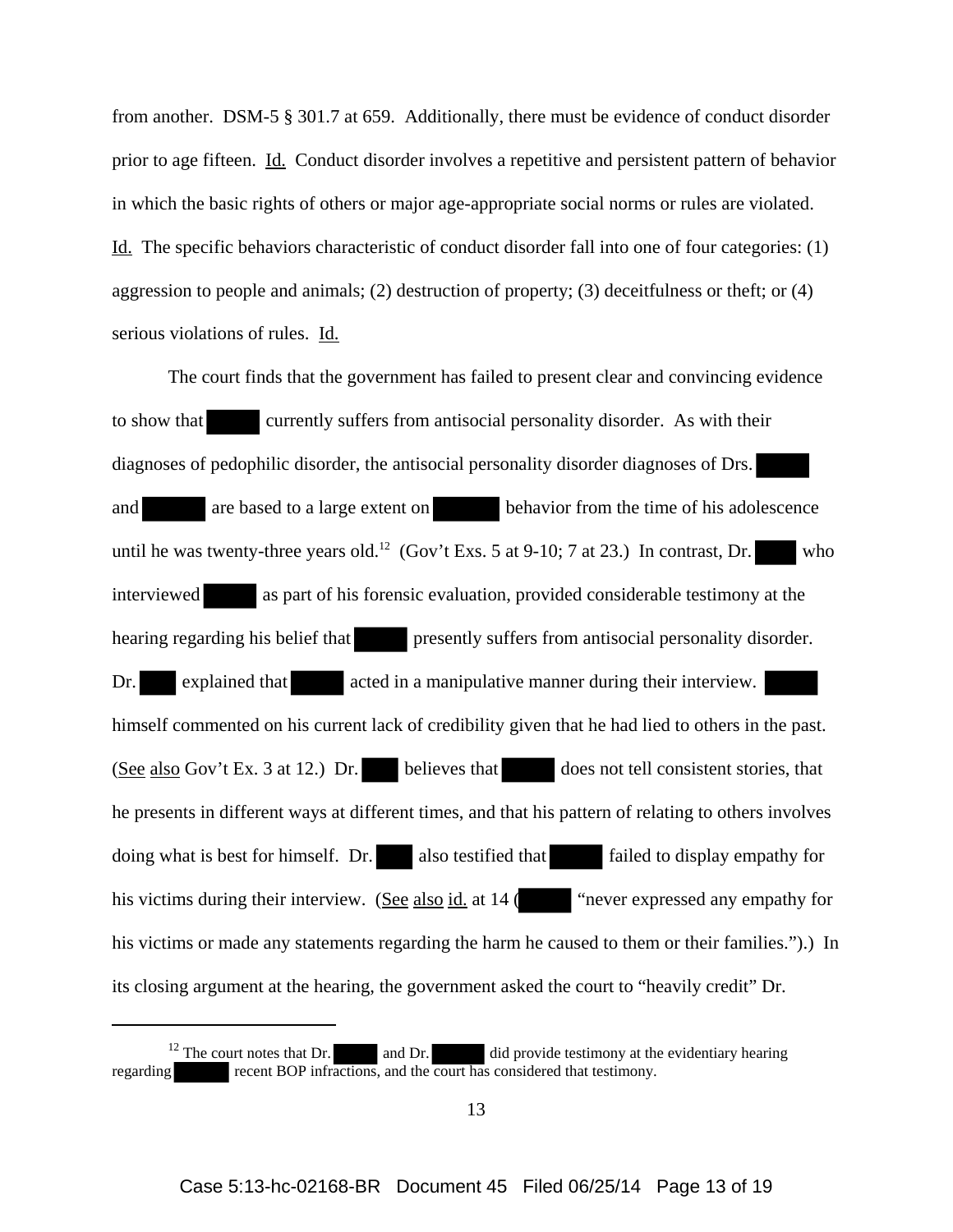from another. DSM-5 § 301.7 at 659. Additionally, there must be evidence of conduct disorder prior to age fifteen. Id. Conduct disorder involves a repetitive and persistent pattern of behavior in which the basic rights of others or major age-appropriate social norms or rules are violated. Id. The specific behaviors characteristic of conduct disorder fall into one of four categories: (1) aggression to people and animals; (2) destruction of property; (3) deceitfulness or theft; or (4) serious violations of rules. Id.

The court finds that the government has failed to present clear and convincing evidence to show that currently suffers from antisocial personality disorder. As with their diagnoses of pedophilic disorder, the antisocial personality disorder diagnoses of Drs. and are based to a large extent on behavior from the time of his adolescence until he was twenty-three years old.<sup>12</sup> (Gov't Exs. 5 at 9-10; 7 at 23.) In contrast, Dr. who interviewed as part of his forensic evaluation, provided considerable testimony at the hearing regarding his belief that presently suffers from antisocial personality disorder. Dr. explained that acted in a manipulative manner during their interview. himself commented on his current lack of credibility given that he had lied to others in the past. (See also Gov't Ex. 3 at 12.) Dr. believes that does not tell consistent stories, that he presents in different ways at different times, and that his pattern of relating to others involves doing what is best for himself. Dr. also testified that failed to display empathy for his victims during their interview. (See also id. at 14 (""never expressed any empathy for his victims or made any statements regarding the harm he caused to them or their families.").) In its closing argument at the hearing, the government asked the court to "heavily credit" Dr.

 $12$  The court notes that Dr. and Dr. did provide testimony at the evidentiary hearing regarding recent BOP infractions, and the court has considered that testimony.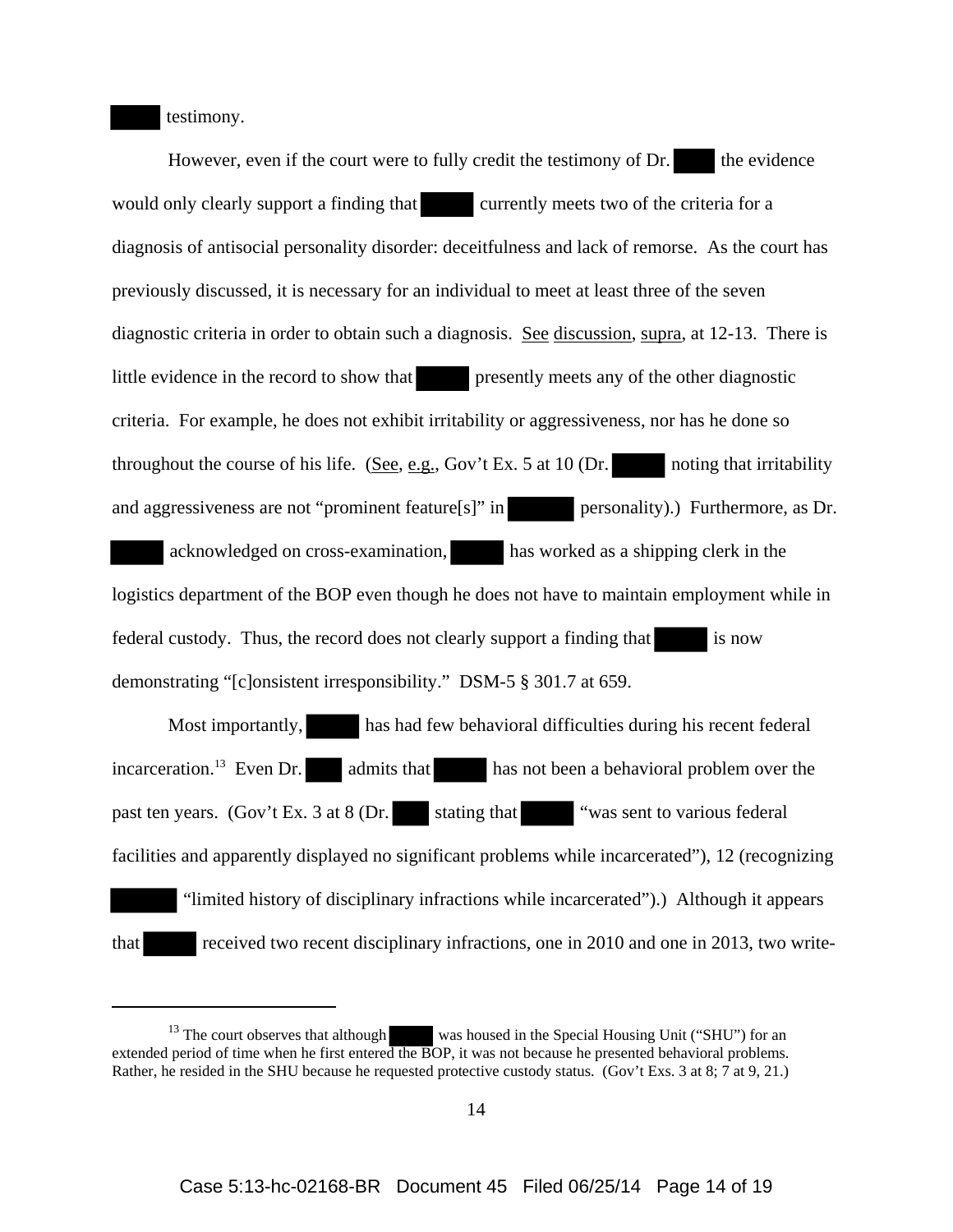testimony.

However, even if the court were to fully credit the testimony of Dr. the evidence would only clearly support a finding that currently meets two of the criteria for a diagnosis of antisocial personality disorder: deceitfulness and lack of remorse. As the court has previously discussed, it is necessary for an individual to meet at least three of the seven diagnostic criteria in order to obtain such a diagnosis. See discussion, supra, at 12-13. There is little evidence in the record to show that presently meets any of the other diagnostic criteria. For example, he does not exhibit irritability or aggressiveness, nor has he done so throughout the course of his life. (See, e.g., Gov't Ex. 5 at 10 (Dr. noting that irritability and aggressiveness are not "prominent feature[s]" in personality).) Furthermore, as Dr. acknowledged on cross-examination, has worked as a shipping clerk in the

logistics department of the BOP even though he does not have to maintain employment while in federal custody. Thus, the record does not clearly support a finding that is now demonstrating "[c]onsistent irresponsibility." DSM-5 § 301.7 at 659.

Most importantly, has had few behavioral difficulties during his recent federal incarceration.<sup>13</sup> Even Dr. admits that has not been a behavioral problem over the past ten years. (Gov't Ex. 3 at 8 (Dr. stating that "was sent to various federal" facilities and apparently displayed no significant problems while incarcerated"), 12 (recognizing "limited history of disciplinary infractions while incarcerated").) Although it appears that received two recent disciplinary infractions, one in 2010 and one in 2013, two write-

 $13$  The court observes that although was housed in the Special Housing Unit ("SHU") for an extended period of time when he first entered the BOP, it was not because he presented behavioral problems. Rather, he resided in the SHU because he requested protective custody status. (Gov't Exs. 3 at 8; 7 at 9, 21.)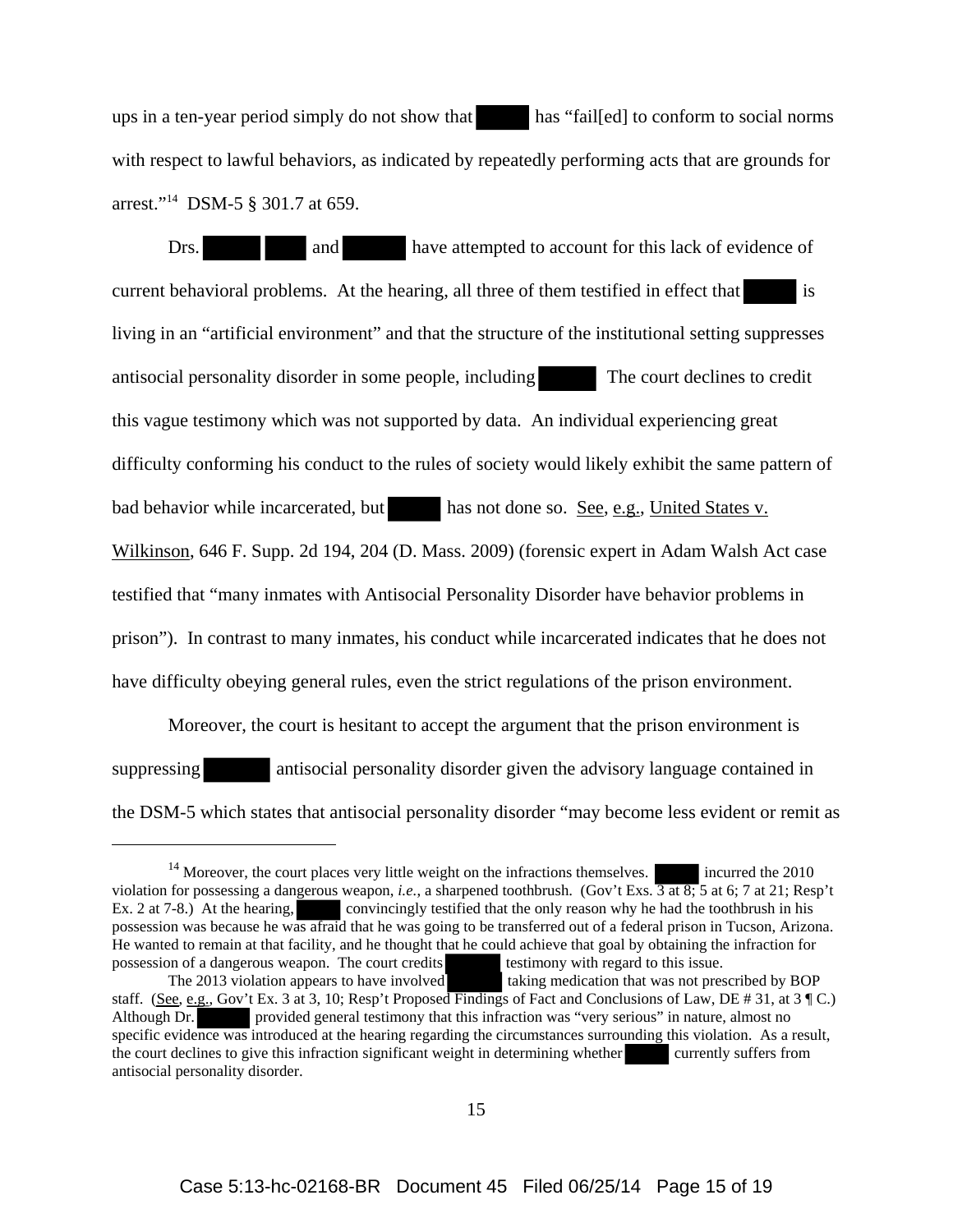ups in a ten-year period simply do not show that has "failed to conform to social norms" with respect to lawful behaviors, as indicated by repeatedly performing acts that are grounds for arrest."14 DSM-5 § 301.7 at 659.

Drs. and have attempted to account for this lack of evidence of current behavioral problems. At the hearing, all three of them testified in effect that is living in an "artificial environment" and that the structure of the institutional setting suppresses antisocial personality disorder in some people, including The court declines to credit this vague testimony which was not supported by data. An individual experiencing great difficulty conforming his conduct to the rules of society would likely exhibit the same pattern of bad behavior while incarcerated, but has not done so. See, e.g., United States v. Wilkinson, 646 F. Supp. 2d 194, 204 (D. Mass. 2009) (forensic expert in Adam Walsh Act case testified that "many inmates with Antisocial Personality Disorder have behavior problems in prison"). In contrast to many inmates, his conduct while incarcerated indicates that he does not have difficulty obeying general rules, even the strict regulations of the prison environment.

Moreover, the court is hesitant to accept the argument that the prison environment is suppressing antisocial personality disorder given the advisory language contained in the DSM-5 which states that antisocial personality disorder "may become less evident or remit as

 $14$  Moreover, the court places very little weight on the infractions themselves. incurred the 2010 violation for possessing a dangerous weapon, *i.e.*, a sharpened toothbrush. (Gov't Exs. 3 at 8; 5 at 6; 7 at 21; Resp't Ex. 2 at 7-8.) At the hearing, convincingly testified that the only reason why he had the toothbrush in his possession was because he was afraid that he was going to be transferred out of a federal prison in Tucson, Arizona. He wanted to remain at that facility, and he thought that he could achieve that goal by obtaining the infraction for possession of a dangerous weapon. The court credits testimony with regard to this issue. The 2013 violation appears to have involved taking medication that was not prescribed by BOP staff. (See, e.g., Gov't Ex. 3 at 3, 10; Resp't Proposed Findings of Fact and Conclusions of Law, DE # 31, at 3 ¶ C.) Although Dr. provided general testimony that this infraction was "very serious" in nature, almost no specific evidence was introduced at the hearing regarding the circumstances surrounding this violation. As a result, the court declines to give this infraction significant weight in determining whether currently suffers from antisocial personality disorder.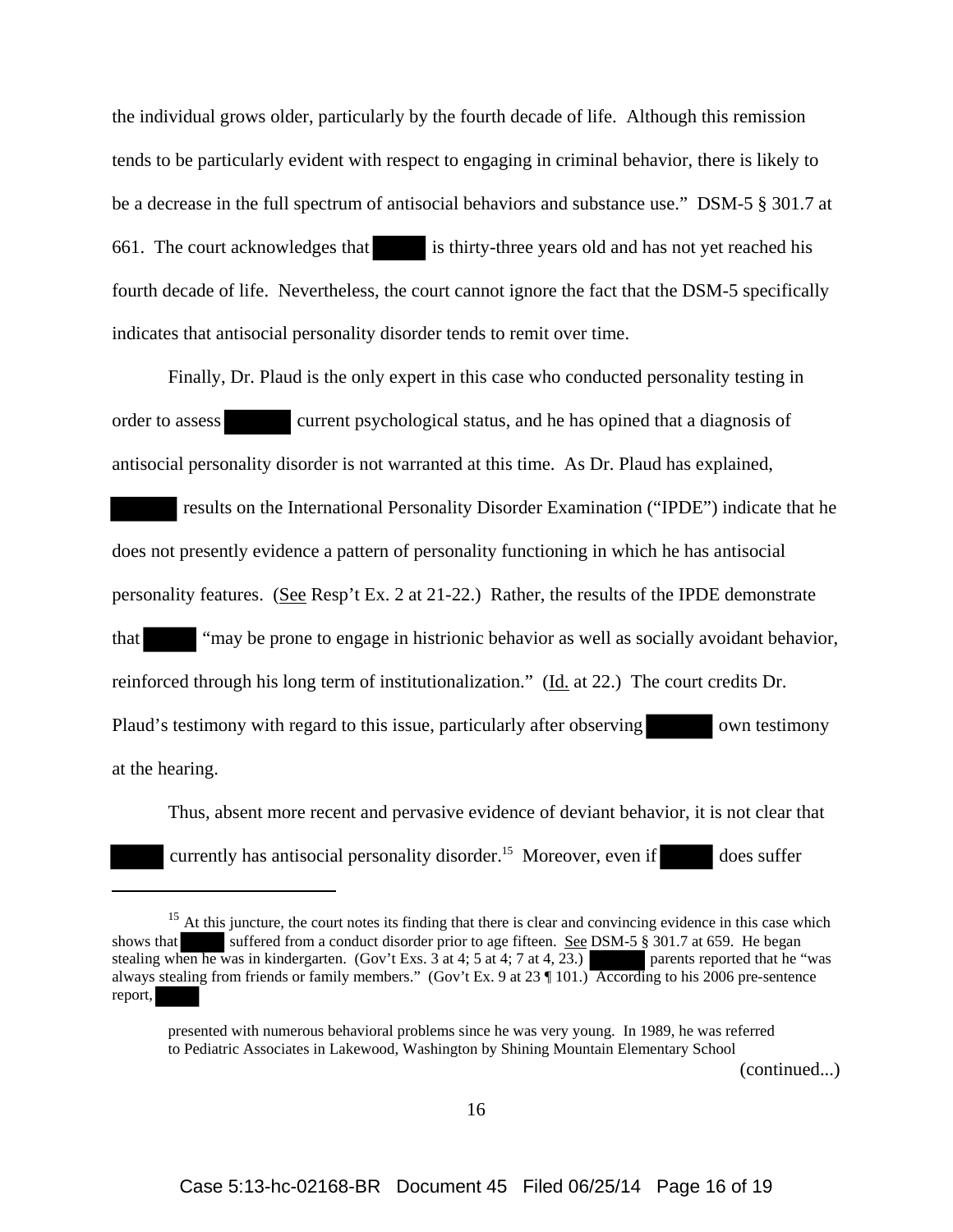the individual grows older, particularly by the fourth decade of life. Although this remission tends to be particularly evident with respect to engaging in criminal behavior, there is likely to be a decrease in the full spectrum of antisocial behaviors and substance use." DSM-5 § 301.7 at 661. The court acknowledges that is thirty-three years old and has not yet reached his fourth decade of life. Nevertheless, the court cannot ignore the fact that the DSM-5 specifically indicates that antisocial personality disorder tends to remit over time.

Finally, Dr. Plaud is the only expert in this case who conducted personality testing in order to assess current psychological status, and he has opined that a diagnosis of antisocial personality disorder is not warranted at this time. As Dr. Plaud has explained,

 results on the International Personality Disorder Examination ("IPDE") indicate that he does not presently evidence a pattern of personality functioning in which he has antisocial personality features. (See Resp't Ex. 2 at 21-22.) Rather, the results of the IPDE demonstrate that "may be prone to engage in histrionic behavior as well as socially avoidant behavior, reinforced through his long term of institutionalization." (Id. at 22.) The court credits Dr. Plaud's testimony with regard to this issue, particularly after observing own testimony at the hearing.

Thus, absent more recent and pervasive evidence of deviant behavior, it is not clear that currently has antisocial personality disorder.<sup>15</sup> Moreover, even if does suffer

(continued...)

<sup>&</sup>lt;sup>15</sup> At this juncture, the court notes its finding that there is clear and convincing evidence in this case which shows that suffered from a conduct disorder prior to age fifteen. See DSM-5 § 301.7 at 659. He began stealing when he was in kindergarten. (Gov't Exs. 3 at 4; 5 at 4; 7 at 4, 23.) parents reported that he "was always stealing from friends or family members." (Gov't Ex. 9 at 23 ¶ 101.) According to his 2006 pre-sentence report,

presented with numerous behavioral problems since he was very young. In 1989, he was referred to Pediatric Associates in Lakewood, Washington by Shining Mountain Elementary School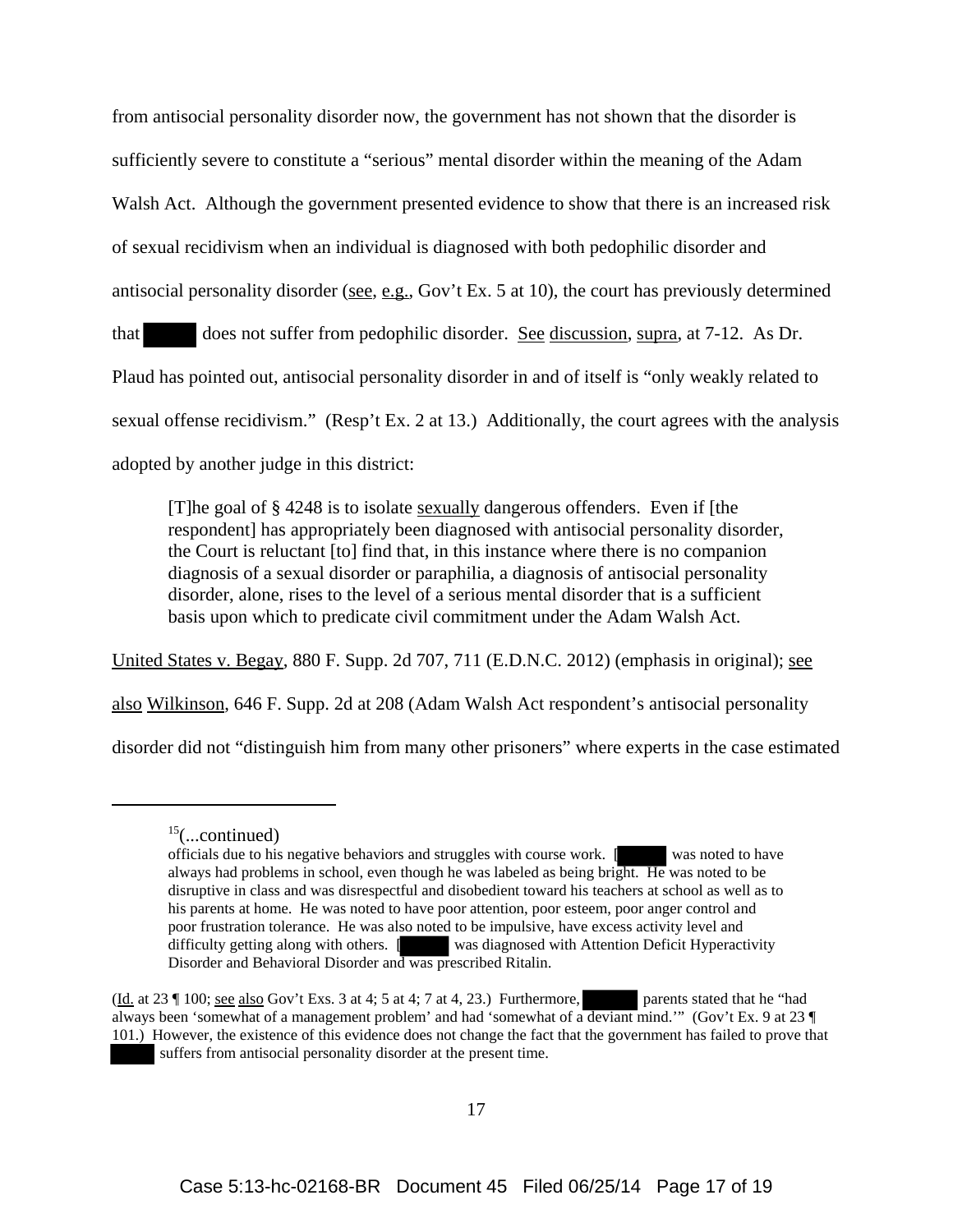from antisocial personality disorder now, the government has not shown that the disorder is sufficiently severe to constitute a "serious" mental disorder within the meaning of the Adam Walsh Act. Although the government presented evidence to show that there is an increased risk of sexual recidivism when an individual is diagnosed with both pedophilic disorder and antisocial personality disorder (see, e.g., Gov't Ex. 5 at 10), the court has previously determined that does not suffer from pedophilic disorder. See discussion, supra, at 7-12. As Dr. Plaud has pointed out, antisocial personality disorder in and of itself is "only weakly related to sexual offense recidivism." (Resp't Ex. 2 at 13.) Additionally, the court agrees with the analysis adopted by another judge in this district:

[T]he goal of § 4248 is to isolate sexually dangerous offenders. Even if [the respondent] has appropriately been diagnosed with antisocial personality disorder, the Court is reluctant [to] find that, in this instance where there is no companion diagnosis of a sexual disorder or paraphilia, a diagnosis of antisocial personality disorder, alone, rises to the level of a serious mental disorder that is a sufficient basis upon which to predicate civil commitment under the Adam Walsh Act.

United States v. Begay, 880 F. Supp. 2d 707, 711 (E.D.N.C. 2012) (emphasis in original); see

also Wilkinson, 646 F. Supp. 2d at 208 (Adam Walsh Act respondent's antisocial personality

disorder did not "distinguish him from many other prisoners" where experts in the case estimated

 $^{15}$ (...continued)

officials due to his negative behaviors and struggles with course work. [ was noted to have always had problems in school, even though he was labeled as being bright. He was noted to be disruptive in class and was disrespectful and disobedient toward his teachers at school as well as to his parents at home. He was noted to have poor attention, poor esteem, poor anger control and poor frustration tolerance. He was also noted to be impulsive, have excess activity level and difficulty getting along with others. [ was diagnosed with Attention Deficit Hyperactivity Disorder and Behavioral Disorder and was prescribed Ritalin.

<sup>(</sup>Id. at 23 ¶ 100; see also Gov't Exs. 3 at 4; 5 at 4; 7 at 4, 23.) Furthermore, parents stated that he "had always been 'somewhat of a management problem' and had 'somewhat of a deviant mind.'" (Gov't Ex. 9 at 23 ¶ 101.) However, the existence of this evidence does not change the fact that the government has failed to prove that suffers from antisocial personality disorder at the present time.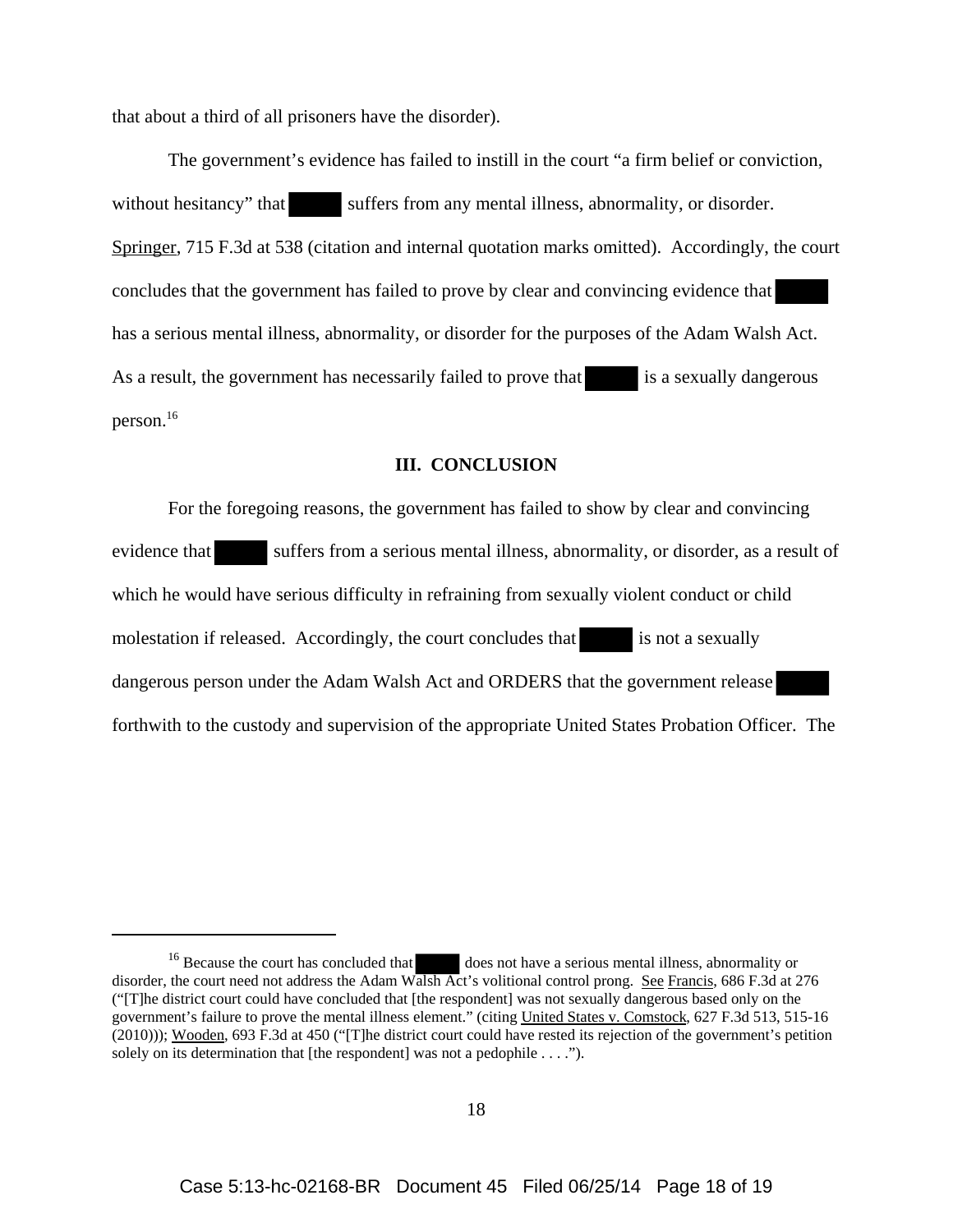that about a third of all prisoners have the disorder).

 The government's evidence has failed to instill in the court "a firm belief or conviction, without hesitancy" that suffers from any mental illness, abnormality, or disorder. Springer, 715 F.3d at 538 (citation and internal quotation marks omitted). Accordingly, the court concludes that the government has failed to prove by clear and convincing evidence that has a serious mental illness, abnormality, or disorder for the purposes of the Adam Walsh Act. As a result, the government has necessarily failed to prove that is a sexually dangerous person.16

#### **III. CONCLUSION**

For the foregoing reasons, the government has failed to show by clear and convincing evidence that suffers from a serious mental illness, abnormality, or disorder, as a result of which he would have serious difficulty in refraining from sexually violent conduct or child molestation if released. Accordingly, the court concludes that is not a sexually dangerous person under the Adam Walsh Act and ORDERS that the government release forthwith to the custody and supervision of the appropriate United States Probation Officer. The

<sup>&</sup>lt;sup>16</sup> Because the court has concluded that does not have a serious mental illness, abnormality or disorder, the court need not address the Adam Walsh Act's volitional control prong. See Francis, 686 F.3d at 276 ("[T]he district court could have concluded that [the respondent] was not sexually dangerous based only on the government's failure to prove the mental illness element." (citing United States v. Comstock, 627 F.3d 513, 515-16 (2010))); Wooden, 693 F.3d at 450 ("[T]he district court could have rested its rejection of the government's petition solely on its determination that [the respondent] was not a pedophile . . . .").